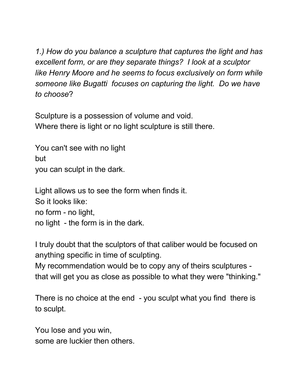*1.) How do you balance a sculpture that captures the light and has excellent form, or are they separate things? I look at a sculptor like Henry Moore and he seems to focus exclusively on form while someone like Bugatti focuses on capturing the light. Do we have to choose*?

Sculpture is a possession of volume and void. Where there is light or no light sculpture is still there.

You can't see with no light but you can sculpt in the dark.

Light allows us to see the form when finds it. So it looks like: no form - no light, no light - the form is in the dark.

I truly doubt that the sculptors of that caliber would be focused on anything specific in time of sculpting.

My recommendation would be to copy any of theirs sculptures that will get you as close as possible to what they were "thinking."

There is no choice at the end - you sculpt what you find there is to sculpt.

You lose and you win, some are luckier then others.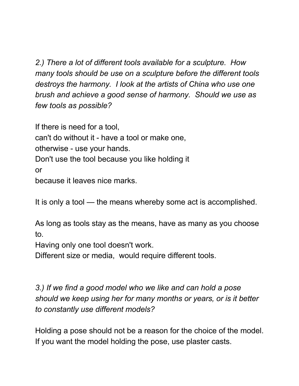*2.) There a lot of different tools available for a sculpture. How many tools should be use on a sculpture before the different tools destroys the harmony. I look at the artists of China who use one brush and achieve a good sense of harmony. Should we use as few tools as possible?*

If there is need for a tool,

can't do without it - have a tool or make one,

otherwise - use your hands.

Don't use the tool because you like holding it

or

because it leaves nice marks.

It is only a tool — the means whereby some act is accomplished.

As long as tools stay as the means, have as many as you choose to.

Having only one tool doesn't work.

Different size or media, would require different tools.

*3.) If we find a good model who we like and can hold a pose should we keep using her for many months or years, or is it better to constantly use different models?*

Holding a pose should not be a reason for the choice of the model. If you want the model holding the pose, use plaster casts.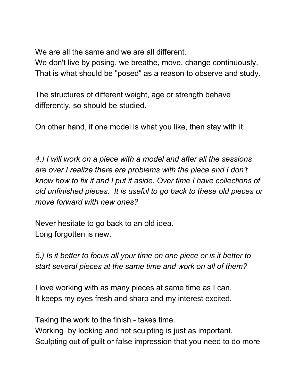We are all the same and we are all different.

We don't live by posing, we breathe, move, change continuously. That is what should be "posed" as a reason to observe and study.

The structures of different weight, age or strength behave differently, so should be studied.

On other hand, if one model is what you like, then stay with it.

*4.) I will work on a piece with a model and after all the sessions are over I realize there are problems with the piece and I don't know how to fix it and I put it aside. Over time I have collections of old unfinished pieces. It is useful to go back to these old pieces or move forward with new ones?*

Never hesitate to go back to an old idea. Long forgotten is new.

*5.) Is it better to focus all your time on one piece or is it better to start several pieces at the same time and work on all of them?*

I love working with as many pieces at same time as I can. It keeps my eyes fresh and sharp and my interest excited.

Taking the work to the finish - takes time. Working by looking and not sculpting is just as important. Sculpting out of guilt or false impression that you need to do more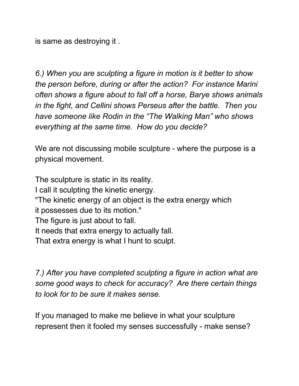is same as destroying it .

*6.) When you are sculpting a figure in motion is it better to show the person before, during or after the action? For instance Marini often shows a figure about to fall off a horse, Barye shows animals in the fight, and Cellini shows Perseus after the battle. Then you have someone like Rodin in the "The Walking Man" who shows everything at the same time. How do you decide?*

We are not discussing mobile sculpture - where the purpose is a physical movement.

The sculpture is static in its reality. I call it sculpting the kinetic energy. "The kinetic energy of an object is the extra energy which it possesses due to its motion." The figure is just about to fall. It needs that extra energy to actually fall. That extra energy is what I hunt to sculpt.

*7.) After you have completed sculpting a figure in action what are some good ways to check for accuracy? Are there certain things to look for to be sure it makes sense.*

If you managed to make me believe in what your sculpture represent then it fooled my senses successfully - make sense?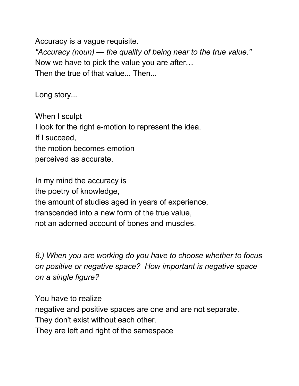Accuracy is a vague requisite. *"Accuracy (noun) — the quality of being near to the true value."* Now we have to pick the value you are after… Then the true of that value... Then...

Long story...

When I sculpt I look for the right e-motion to represent the idea. If I succeed, the motion becomes emotion perceived as accurate.

In my mind the accuracy is the poetry of knowledge, the amount of studies aged in years of experience, transcended into a new form of the true value, not an adorned account of bones and muscles.

*8.) When you are working do you have to choose whether to focus on positive or negative space? How important is negative space on a single figure?*

You have to realize negative and positive spaces are one and are not separate. They don't exist without each other. They are left and right of the samespace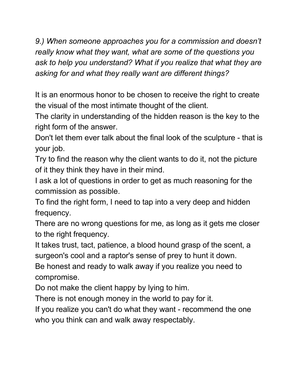*9.) When someone approaches you for a commission and doesn't really know what they want, what are some of the questions you ask to help you understand? What if you realize that what they are asking for and what they really want are different things?*

It is an enormous honor to be chosen to receive the right to create the visual of the most intimate thought of the client.

The clarity in understanding of the hidden reason is the key to the right form of the answer.

Don't let them ever talk about the final look of the sculpture - that is your job.

Try to find the reason why the client wants to do it, not the picture of it they think they have in their mind.

I ask a lot of questions in order to get as much reasoning for the commission as possible.

To find the right form, I need to tap into a very deep and hidden frequency.

There are no wrong questions for me, as long as it gets me closer to the right frequency.

It takes trust, tact, patience, a blood hound grasp of the scent, a surgeon's cool and a raptor's sense of prey to hunt it down. Be honest and ready to walk away if you realize you need to compromise.

Do not make the client happy by lying to him.

There is not enough money in the world to pay for it.

If you realize you can't do what they want - recommend the one who you think can and walk away respectably.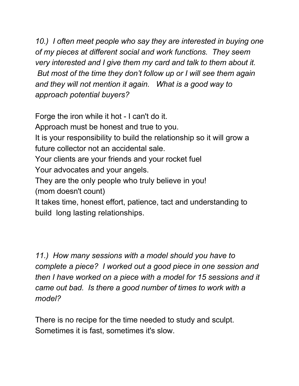*10.) I often meet people who say they are interested in buying one of my pieces at different social and work functions. They seem very interested and I give them my card and talk to them about it. But most of the time they don't follow up or I will see them again and they will not mention it again. What is a good way to approach potential buyers?*

Forge the iron while it hot - I can't do it.

Approach must be honest and true to you.

It is your responsibility to build the relationship so it will grow a future collector not an accidental sale.

Your clients are your friends and your rocket fuel

Your advocates and your angels.

They are the only people who truly believe in you!

(mom doesn't count)

It takes time, honest effort, patience, tact and understanding to build long lasting relationships.

*11.) How many sessions with a model should you have to complete a piece? I worked out a good piece in one session and then I have worked on a piece with a model for 15 sessions and it came out bad. Is there a good number of times to work with a model?*

There is no recipe for the time needed to study and sculpt. Sometimes it is fast, sometimes it's slow.